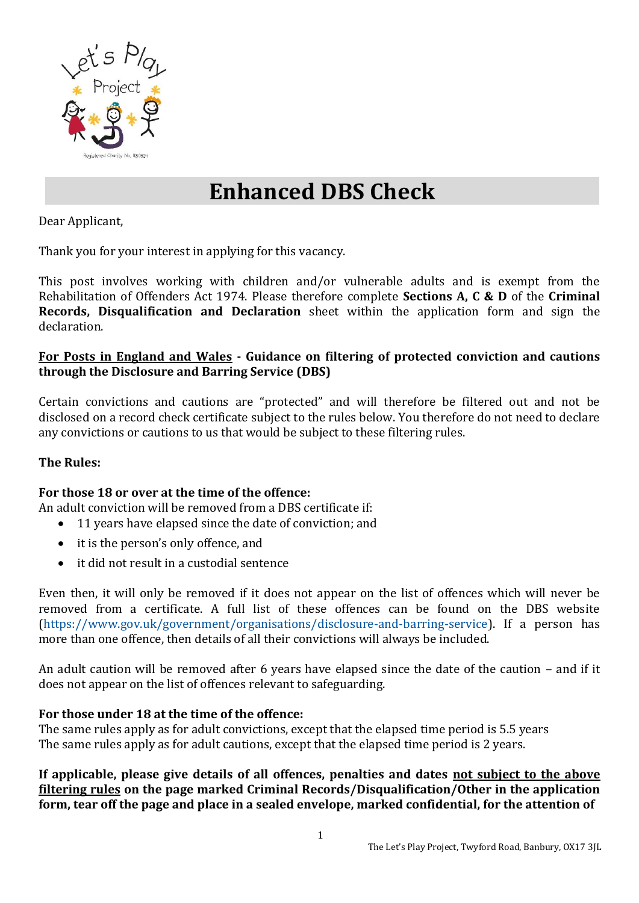

# **Enhanced DBS Check**

Dear Applicant,

Thank you for your interest in applying for this vacancy.

This post involves working with children and/or vulnerable adults and is exempt from the Rehabilitation of Offenders Act 1974. Please therefore complete **Sections A, C & D** of the **Criminal Records, Disqualification and Declaration** sheet within the application form and sign the declaration.

#### **For Posts in England and Wales - Guidance on filtering of protected conviction and cautions through the Disclosure and Barring Service (DBS)**

Certain convictions and cautions are "protected" and will therefore be filtered out and not be disclosed on a record check certificate subject to the rules below. You therefore do not need to declare any convictions or cautions to us that would be subject to these filtering rules.

## **The Rules:**

## **For those 18 or over at the time of the offence:**

An adult conviction will be removed from a DBS certificate if:

- 11 years have elapsed since the date of conviction; and
- it is the person's only offence, and
- it did not result in a custodial sentence

Even then, it will only be removed if it does not appear on the list of offences which will never be removed from a certificate. A full list of these offences can be found on the DBS website [\(https://www.gov.uk/government/organisations/disclosure-and-barring-service\)](https://www.gov.uk/government/organisations/disclosure-and-barring-service). If a person has more than one offence, then details of all their convictions will always be included.

An adult caution will be removed after 6 years have elapsed since the date of the caution – and if it does not appear on the list of offences relevant to safeguarding.

#### **For those under 18 at the time of the offence:**

The same rules apply as for adult convictions, except that the elapsed time period is 5.5 years The same rules apply as for adult cautions, except that the elapsed time period is 2 years.

**If applicable, please give details of all offences, penalties and dates not subject to the above filtering rules on the page marked Criminal Records/Disqualification/Other in the application form, tear off the page and place in a sealed envelope, marked confidential, for the attention of**